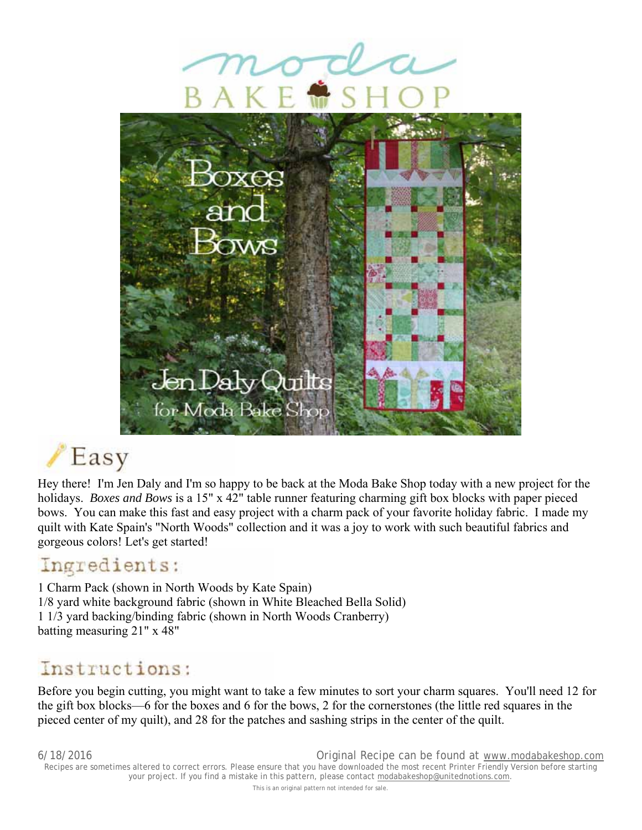



# Easy

Hey there! I'm Jen Daly and I'm so happy to be back at the Moda Bake Shop today with a new project for the holidays. *Boxes and Bows* is a 15" x 42" table runner featuring charming gift box blocks with paper pieced bows. You can make this fast and easy project with a charm pack of your favorite holiday fabric. I made my quilt with Kate Spain's "North Woods" collection and it was a joy to work with such beautiful fabrics and gorgeous colors! Let's get started!

### Ingredients:

1 Charm Pack (shown in North Woods by Kate Spain) 1/8 yard white background fabric (shown in White Bleached Bella Solid) 1 1/3 yard backing/binding fabric (shown in North Woods Cranberry) batting measuring 21" x 48"

### Instructions:

Before you begin cutting, you might want to take a few minutes to sort your charm squares. You'll need 12 for the gift box blocks—6 for the boxes and 6 for the bows, 2 for the cornerstones (the little red squares in the pieced center of my quilt), and 28 for the patches and sashing strips in the center of the quilt.

6/18/2016 Original Recipe can be found at www.modabakeshop.com Recipes are sometimes altered to correct errors. Please ensure that you have downloaded the most recent Printer Friendly Version before starting your project. If you find a mistake in this pattern, please contact modabakeshop@unitednotions.com. This is an original pattern not intended for sale.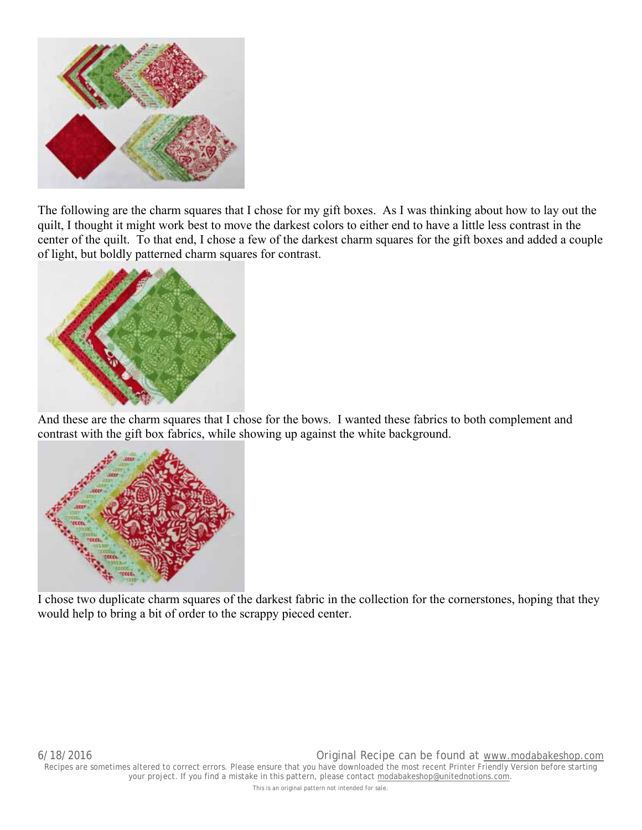

The following are the charm squares that I chose for my gift boxes. As I was thinking about how to lay out the quilt, I thought it might work best to move the darkest colors to either end to have a little less contrast in the center of the quilt. To that end, I chose a few of the darkest charm squares for the gift boxes and added a couple of light, but boldly patterned charm squares for contrast.



And these are the charm squares that I chose for the bows. I wanted these fabrics to both complement and contrast with the gift box fabrics, while showing up against the white background.



I chose two duplicate charm squares of the darkest fabric in the collection for the cornerstones, hoping that they would help to bring a bit of order to the scrappy pieced center.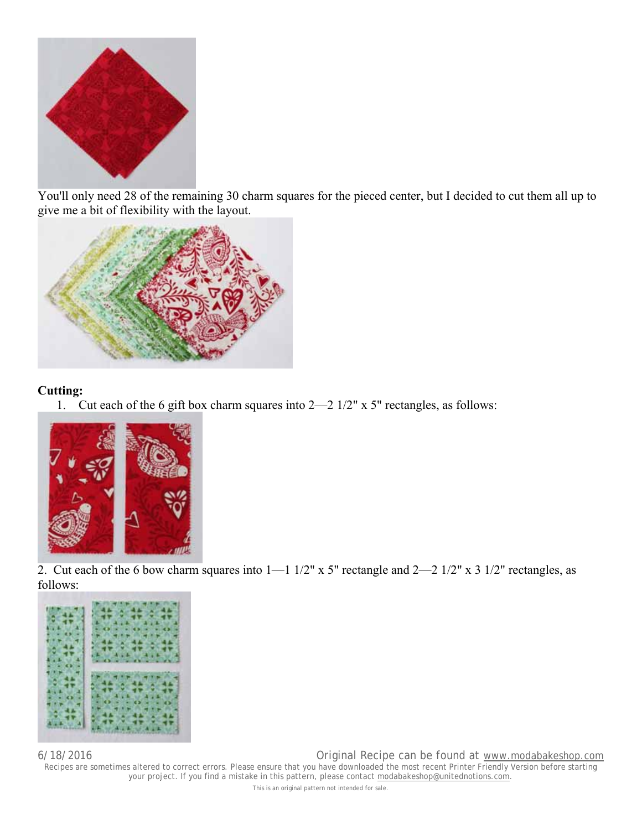

You'll only need 28 of the remaining 30 charm squares for the pieced center, but I decided to cut them all up to give me a bit of flexibility with the layout.



### **Cutting:**

1. Cut each of the 6 gift box charm squares into 2—2 1/2" x 5" rectangles, as follows:



2. Cut each of the 6 bow charm squares into 1—1 1/2" x 5" rectangle and 2—2 1/2" x 3 1/2" rectangles, as follows:



6/18/2016 Original Recipe can be found at www.modabakeshop.com

Recipes are sometimes altered to correct errors. Please ensure that you have downloaded the most recent Printer Friendly Version before starting your project. If you find a mistake in this pattern, please contact modabakeshop@unitednotions.com.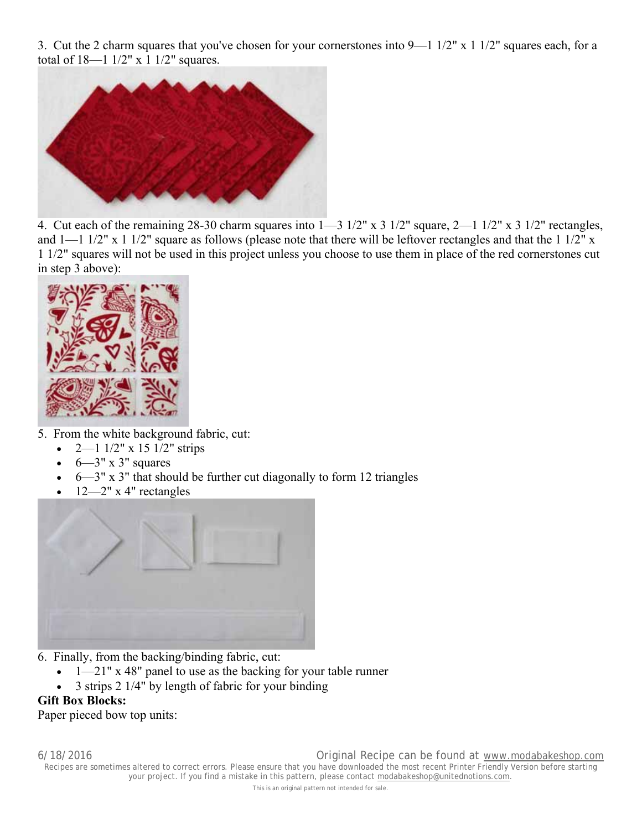3. Cut the 2 charm squares that you've chosen for your cornerstones into 9—1 1/2" x 1 1/2" squares each, for a total of 18—1 1/2" x 1 1/2" squares.



4. Cut each of the remaining 28-30 charm squares into 1—3 1/2" x 3 1/2" square, 2—1 1/2" x 3 1/2" rectangles, and  $1-1$   $1/2$ " x  $1$   $1/2$ " square as follows (please note that there will be leftover rectangles and that the  $1\frac{1}{2}$ " x 1 1/2" squares will not be used in this project unless you choose to use them in place of the red cornerstones cut in step 3 above):



- 5. From the white background fabric, cut:
	- $2-1$   $1/2$ " x  $15$   $1/2$ " strips
	- $6-3$ " x 3" squares
	- $6 3$ " x 3" that should be further cut diagonally to form 12 triangles
	- 12—2" x 4" rectangles



- 6. Finally, from the backing/binding fabric, cut:
	- 1—21" x 48" panel to use as the backing for your table runner
	- 3 strips 2 1/4" by length of fabric for your binding

#### **Gift Box Blocks:**

Paper pieced bow top units: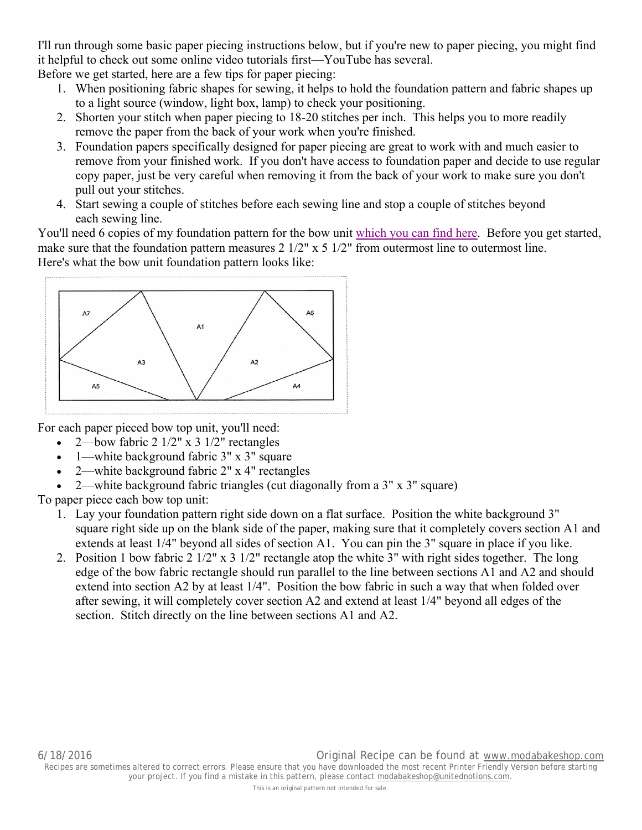I'll run through some basic paper piecing instructions below, but if you're new to paper piecing, you might find it helpful to check out some online video tutorials first—YouTube has several.

Before we get started, here are a few tips for paper piecing:

- 1. When positioning fabric shapes for sewing, it helps to hold the foundation pattern and fabric shapes up to a light source (window, light box, lamp) to check your positioning.
- 2. Shorten your stitch when paper piecing to 18-20 stitches per inch. This helps you to more readily remove the paper from the back of your work when you're finished.
- 3. Foundation papers specifically designed for paper piecing are great to work with and much easier to remove from your finished work. If you don't have access to foundation paper and decide to use regular copy paper, just be very careful when removing it from the back of your work to make sure you don't pull out your stitches.
- 4. Start sewing a couple of stitches before each sewing line and stop a couple of stitches beyond each sewing line.

You'll need 6 copies of my foundation pattern for the bow unit which you can find here. Before you get started, make sure that the foundation pattern measures 2 1/2" x 5 1/2" from outermost line to outermost line. Here's what the bow unit foundation pattern looks like:



For each paper pieced bow top unit, you'll need:

- 2—bow fabric 2 1/2" x 3 1/2" rectangles
- 1—white background fabric 3" x 3" square
- 2—white background fabric 2" x 4" rectangles
- 2—white background fabric triangles (cut diagonally from a 3" x 3" square)

To paper piece each bow top unit:

- 1. Lay your foundation pattern right side down on a flat surface. Position the white background 3" square right side up on the blank side of the paper, making sure that it completely covers section A1 and extends at least 1/4" beyond all sides of section A1. You can pin the 3" square in place if you like.
- 2. Position 1 bow fabric 2 1/2" x 3 1/2" rectangle atop the white 3" with right sides together. The long edge of the bow fabric rectangle should run parallel to the line between sections A1 and A2 and should extend into section A2 by at least 1/4". Position the bow fabric in such a way that when folded over after sewing, it will completely cover section A2 and extend at least 1/4" beyond all edges of the section. Stitch directly on the line between sections A1 and A2.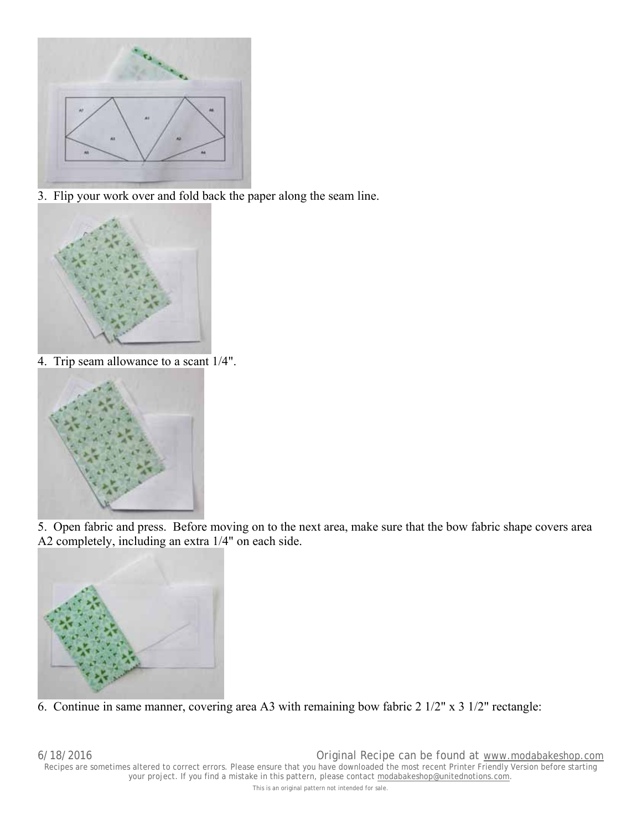

3. Flip your work over and fold back the paper along the seam line.



4. Trip seam allowance to a scant 1/4".



5. Open fabric and press. Before moving on to the next area, make sure that the bow fabric shape covers area A2 completely, including an extra 1/4" on each side.



6. Continue in same manner, covering area A3 with remaining bow fabric 2 1/2" x 3 1/2" rectangle: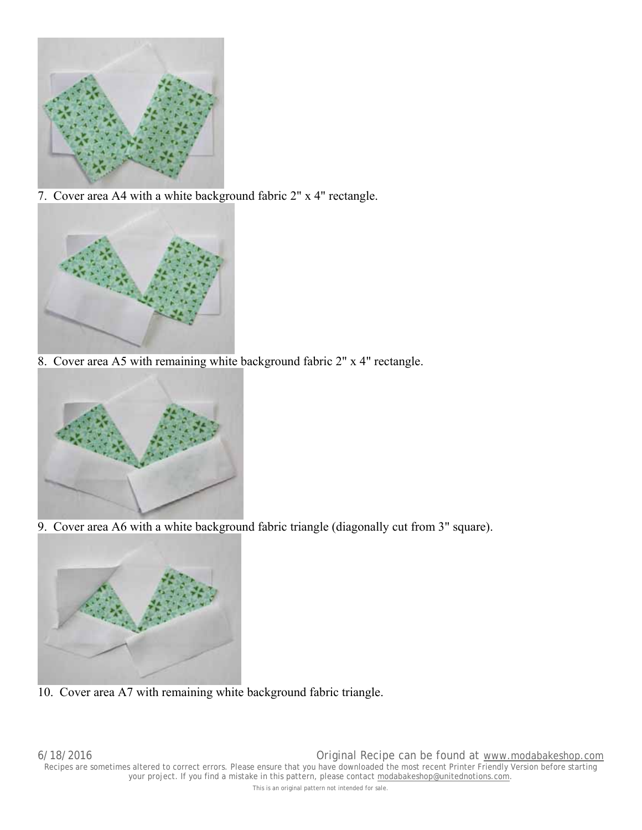

7. Cover area A4 with a white background fabric 2" x 4" rectangle.



8. Cover area A5 with remaining white background fabric 2" x 4" rectangle.



9. Cover area A6 with a white background fabric triangle (diagonally cut from 3" square).



10. Cover area A7 with remaining white background fabric triangle.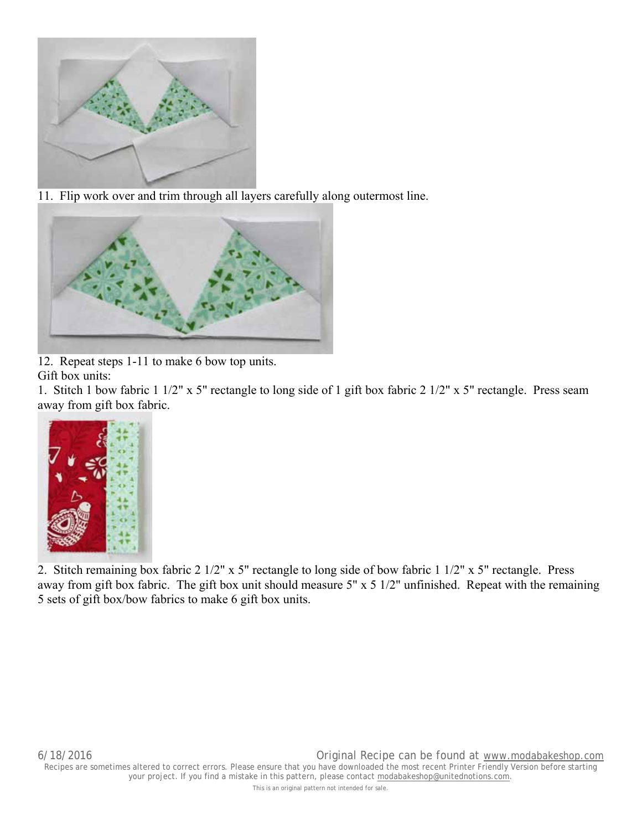

11. Flip work over and trim through all layers carefully along outermost line.



12. Repeat steps 1-11 to make 6 bow top units.

Gift box units:

1. Stitch 1 bow fabric 1 1/2" x 5" rectangle to long side of 1 gift box fabric 2 1/2" x 5" rectangle. Press seam away from gift box fabric.



2. Stitch remaining box fabric 2 1/2" x 5" rectangle to long side of bow fabric 1 1/2" x 5" rectangle. Press away from gift box fabric. The gift box unit should measure 5" x 5 1/2" unfinished. Repeat with the remaining 5 sets of gift box/bow fabrics to make 6 gift box units.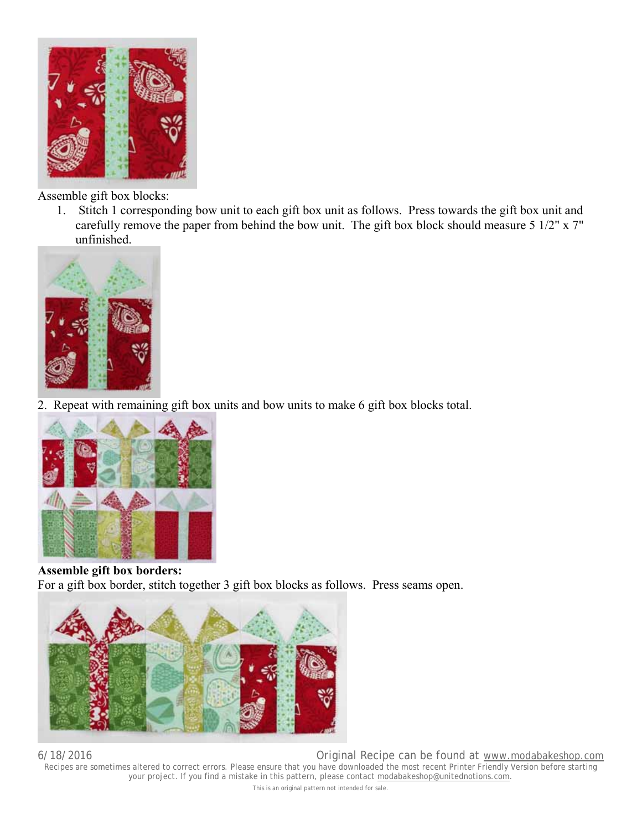

Assemble gift box blocks:

1. Stitch 1 corresponding bow unit to each gift box unit as follows. Press towards the gift box unit and carefully remove the paper from behind the bow unit. The gift box block should measure 5 1/2" x 7" unfinished.



2. Repeat with remaining gift box units and bow units to make 6 gift box blocks total.



**Assemble gift box borders:** For a gift box border, stitch together 3 gift box blocks as follows. Press seams open.



6/18/2016 Original Recipe can be found at www.modabakeshop.com Recipes are sometimes altered to correct errors. Please ensure that you have downloaded the most recent Printer Friendly Version before starting your project. If you find a mistake in this pattern, please contact modabakeshop@unitednotions.com. This is an original pattern not intended for sale.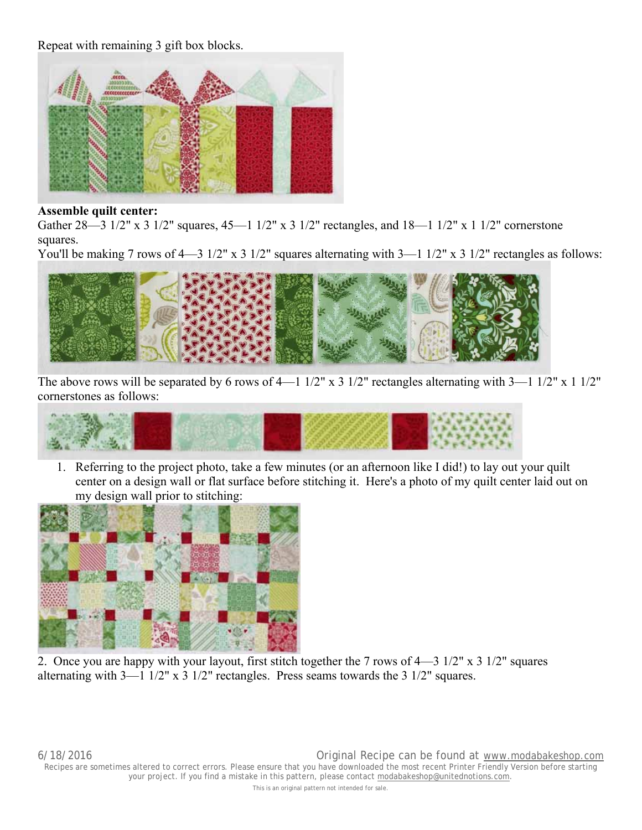Repeat with remaining 3 gift box blocks.



#### **Assemble quilt center:**

Gather 28—3 1/2" x 3 1/2" squares, 45—1 1/2" x 3 1/2" rectangles, and 18—1 1/2" x 1 1/2" cornerstone squares.

You'll be making 7 rows of 4—3 1/2" x 3 1/2" squares alternating with 3—1 1/2" x 3 1/2" rectangles as follows:



The above rows will be separated by 6 rows of 4—1 1/2" x 3 1/2" rectangles alternating with 3—1 1/2" x 1 1/2" cornerstones as follows:



1. Referring to the project photo, take a few minutes (or an afternoon like I did!) to lay out your quilt center on a design wall or flat surface before stitching it. Here's a photo of my quilt center laid out on my design wall prior to stitching:



2. Once you are happy with your layout, first stitch together the 7 rows of 4—3 1/2" x 3 1/2" squares alternating with  $3-11/2$ " x 3  $1/2$ " rectangles. Press seams towards the 3  $1/2$ " squares.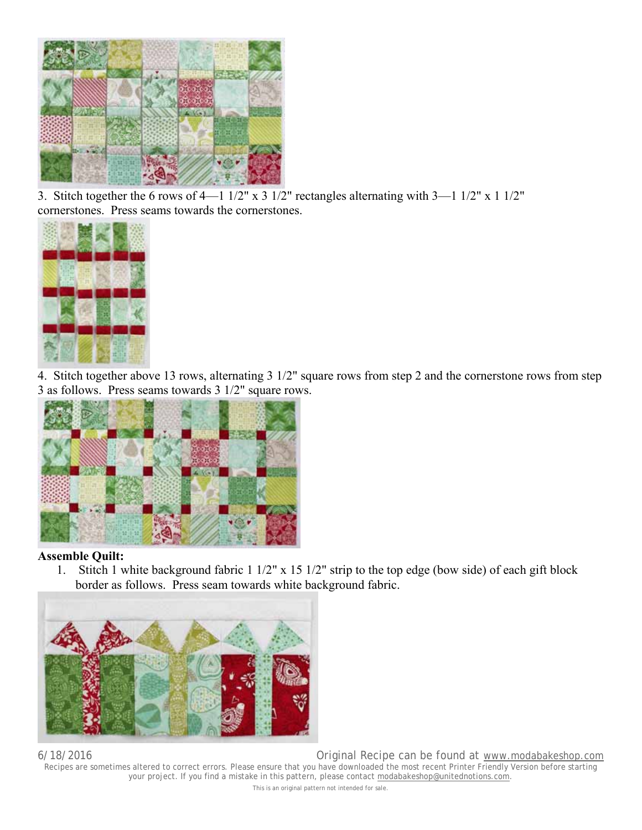

3. Stitch together the 6 rows of 4—1 1/2" x 3 1/2" rectangles alternating with 3—1 1/2" x 1 1/2" cornerstones. Press seams towards the cornerstones.



4. Stitch together above 13 rows, alternating 3 1/2" square rows from step 2 and the cornerstone rows from step 3 as follows. Press seams towards 3 1/2" square rows.



#### **Assemble Quilt:**

1. Stitch 1 white background fabric 1 1/2" x 15 1/2" strip to the top edge (bow side) of each gift block border as follows. Press seam towards white background fabric.



6/18/2016 Original Recipe can be found at www.modabakeshop.com Recipes are sometimes altered to correct errors. Please ensure that you have downloaded the most recent Printer Friendly Version before starting your project. If you find a mistake in this pattern, please contact modabakeshop@unitednotions.com. This is an original pattern not intended for sale.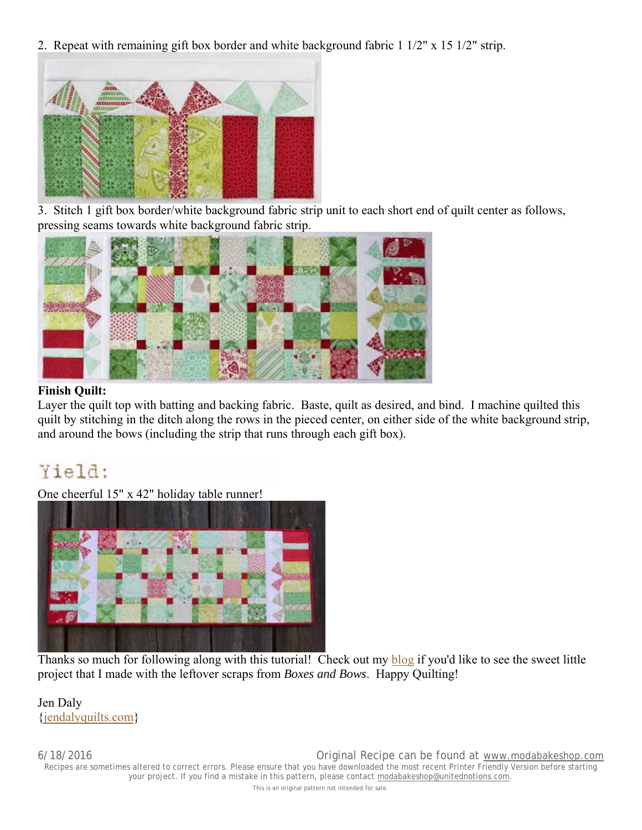2. Repeat with remaining gift box border and white background fabric 1 1/2" x 15 1/2" strip.



3. Stitch 1 gift box border/white background fabric strip unit to each short end of quilt center as follows, pressing seams towards white background fabric strip.



#### **Finish Quilt:**

Layer the quilt top with batting and backing fabric. Baste, quilt as desired, and bind. I machine quilted this quilt by stitching in the ditch along the rows in the pieced center, on either side of the white background strip, and around the bows (including the strip that runs through each gift box).

## Yield:

One cheerful 15" x 42" holiday table runner!



Thanks so much for following along with this tutorial! Check out my blog if you'd like to see the sweet little project that I made with the leftover scraps from *Boxes and Bows*. Happy Quilting!

Jen Daly {jendalyquilts.com}

6/18/2016 Original Recipe can be found at www.modabakeshop.com Recipes are sometimes altered to correct errors. Please ensure that you have downloaded the most recent Printer Friendly Version before starting your project. If you find a mistake in this pattern, please contact modabakeshop@unitednotions.com.